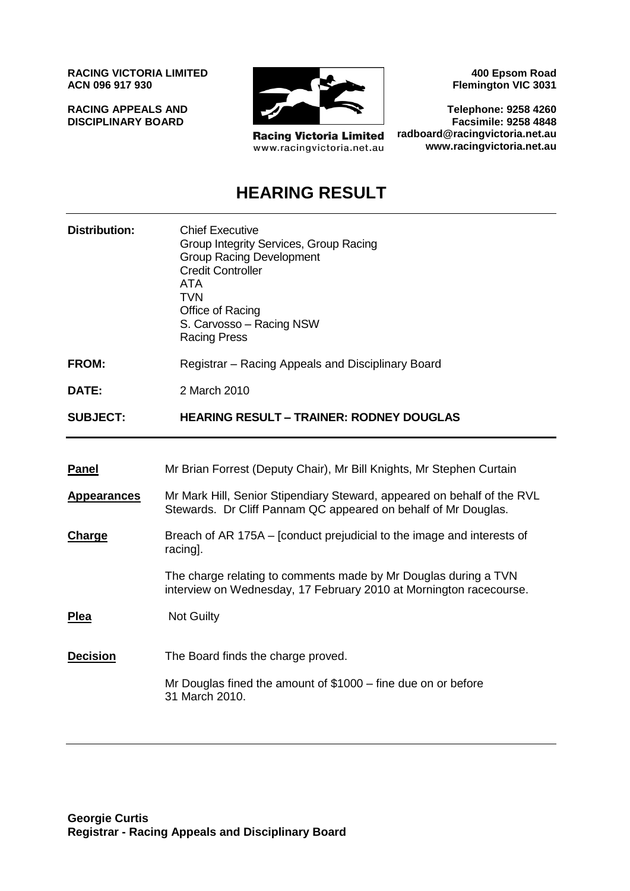**RACING VICTORIA LIMITED ACN 096 917 930**

**RACING APPEALS AND DISCIPLINARY BOARD**



**Racing Victoria Limited** www.racingvictoria.net.au

**400 Epsom Road Flemington VIC 3031**

**Telephone: 9258 4260 Facsimile: 9258 4848 radboard@racingvictoria.net.au www.racingvictoria.net.au**

## **HEARING RESULT**

| <b>Chief Executive</b><br>Group Integrity Services, Group Racing<br><b>Group Racing Development</b><br><b>Credit Controller</b><br><b>ATA</b><br><b>TVN</b><br>Office of Racing<br>S. Carvosso - Racing NSW<br><b>Racing Press</b> |
|------------------------------------------------------------------------------------------------------------------------------------------------------------------------------------------------------------------------------------|
| Registrar – Racing Appeals and Disciplinary Board                                                                                                                                                                                  |
| 2 March 2010                                                                                                                                                                                                                       |
| <b>HEARING RESULT - TRAINER: RODNEY DOUGLAS</b>                                                                                                                                                                                    |
|                                                                                                                                                                                                                                    |
| Mr Brian Forrest (Deputy Chair), Mr Bill Knights, Mr Stephen Curtain                                                                                                                                                               |
| Mr Mark Hill, Senior Stipendiary Steward, appeared on behalf of the RVL<br>Stewards. Dr Cliff Pannam QC appeared on behalf of Mr Douglas.                                                                                          |
| Breach of AR 175A – [conduct prejudicial to the image and interests of<br>racing].                                                                                                                                                 |
| The charge relating to comments made by Mr Douglas during a TVN<br>interview on Wednesday, 17 February 2010 at Mornington racecourse.                                                                                              |
| <b>Not Guilty</b>                                                                                                                                                                                                                  |
| The Board finds the charge proved.                                                                                                                                                                                                 |
| Mr Douglas fined the amount of $$1000 -$ fine due on or before<br>31 March 2010.                                                                                                                                                   |
|                                                                                                                                                                                                                                    |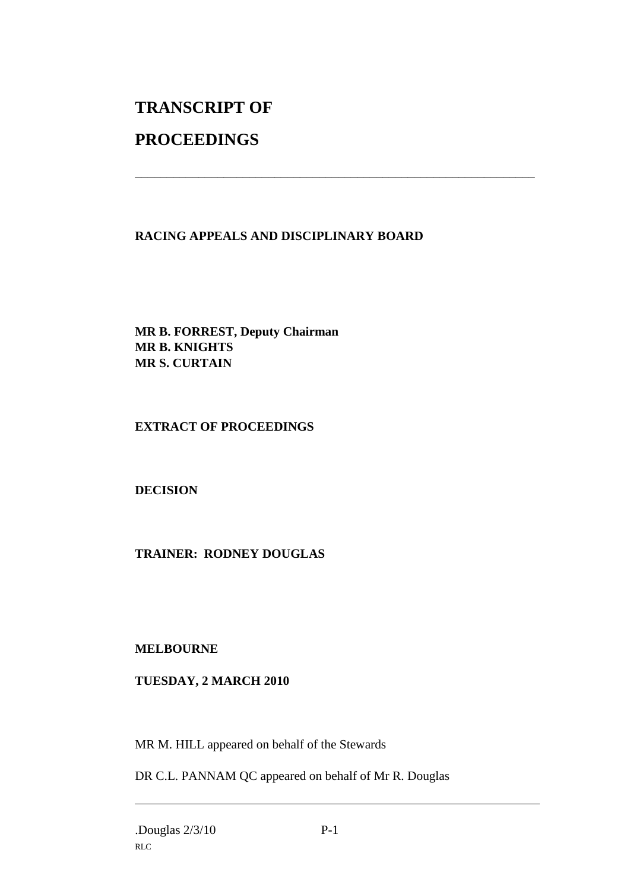# **TRANSCRIPT OF**

## **PROCEEDINGS**

#### **RACING APPEALS AND DISCIPLINARY BOARD**

\_\_\_\_\_\_\_\_\_\_\_\_\_\_\_\_\_\_\_\_\_\_\_\_\_\_\_\_\_\_\_\_\_\_\_\_\_\_\_\_\_\_\_\_\_\_\_\_\_\_\_\_\_\_\_\_\_\_\_\_\_\_\_

**MR B. FORREST, Deputy Chairman MR B. KNIGHTS MR S. CURTAIN**

#### **EXTRACT OF PROCEEDINGS**

#### **DECISION**

#### **TRAINER: RODNEY DOUGLAS**

#### **MELBOURNE**

#### **TUESDAY, 2 MARCH 2010**

MR M. HILL appeared on behalf of the Stewards

DR C.L. PANNAM QC appeared on behalf of Mr R. Douglas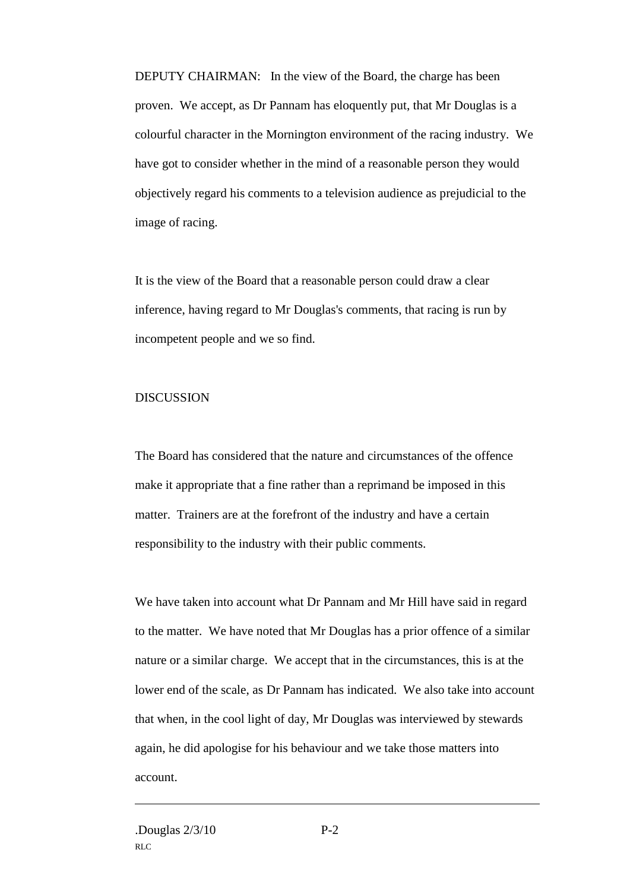DEPUTY CHAIRMAN: In the view of the Board, the charge has been proven. We accept, as Dr Pannam has eloquently put, that Mr Douglas is a colourful character in the Mornington environment of the racing industry. We have got to consider whether in the mind of a reasonable person they would objectively regard his comments to a television audience as prejudicial to the image of racing.

It is the view of the Board that a reasonable person could draw a clear inference, having regard to Mr Douglas's comments, that racing is run by incompetent people and we so find.

#### DISCUSSION

The Board has considered that the nature and circumstances of the offence make it appropriate that a fine rather than a reprimand be imposed in this matter. Trainers are at the forefront of the industry and have a certain responsibility to the industry with their public comments.

We have taken into account what Dr Pannam and Mr Hill have said in regard to the matter. We have noted that Mr Douglas has a prior offence of a similar nature or a similar charge. We accept that in the circumstances, this is at the lower end of the scale, as Dr Pannam has indicated. We also take into account that when, in the cool light of day, Mr Douglas was interviewed by stewards again, he did apologise for his behaviour and we take those matters into account.